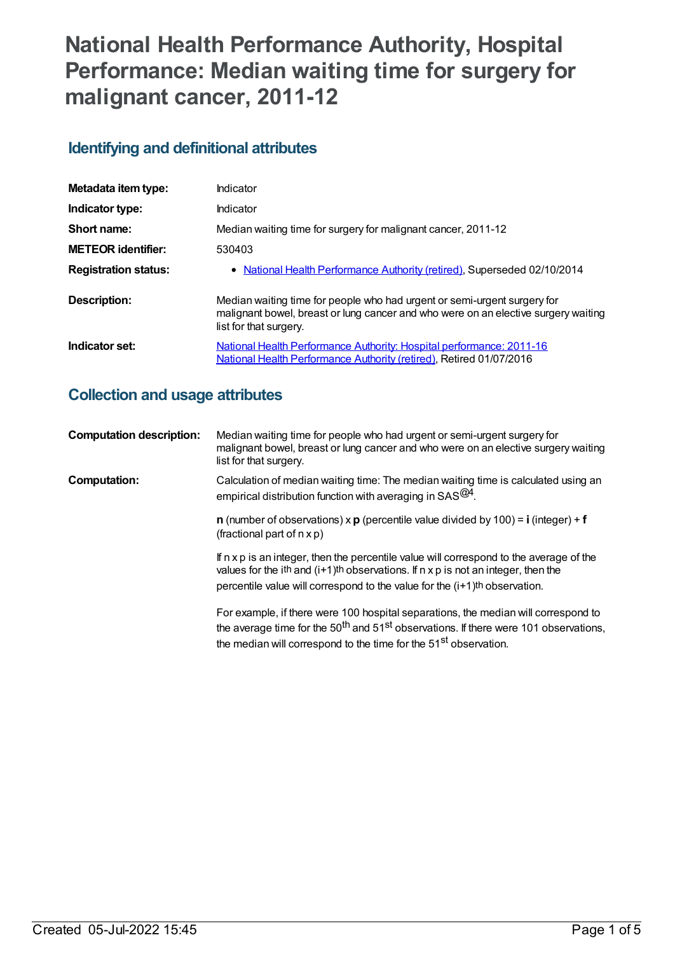# **National Health Performance Authority, Hospital Performance: Median waiting time for surgery for malignant cancer, 2011-12**

## **Identifying and definitional attributes**

| Metadata item type:         | Indicator                                                                                                                                                                                |
|-----------------------------|------------------------------------------------------------------------------------------------------------------------------------------------------------------------------------------|
| Indicator type:             | Indicator                                                                                                                                                                                |
| Short name:                 | Median waiting time for surgery for malignant cancer, 2011-12                                                                                                                            |
| <b>METEOR identifier:</b>   | 530403                                                                                                                                                                                   |
| <b>Registration status:</b> | • National Health Performance Authority (retired), Superseded 02/10/2014                                                                                                                 |
| Description:                | Median waiting time for people who had urgent or semi-urgent surgery for<br>malignant bowel, breast or lung cancer and who were on an elective surgery waiting<br>list for that surgery. |
| Indicator set:              | <b>National Health Performance Authority: Hospital performance: 2011-16</b><br>National Health Performance Authority (retired), Retired 01/07/2016                                       |

## **Collection and usage attributes**

| <b>Computation description:</b> | Median waiting time for people who had urgent or semi-urgent surgery for<br>malignant bowel, breast or lung cancer and who were on an elective surgery waiting<br>list for that surgery.                                                                                         |
|---------------------------------|----------------------------------------------------------------------------------------------------------------------------------------------------------------------------------------------------------------------------------------------------------------------------------|
| Computation:                    | Calculation of median waiting time: The median waiting time is calculated using an<br>empirical distribution function with averaging in $SAS^{@4}$ .                                                                                                                             |
|                                 | <b>n</b> (number of observations) $\times$ <b>p</b> (percentile value divided by 100) = <b>i</b> (integer) + <b>f</b><br>(fractional part of $n \times p$ )                                                                                                                      |
|                                 | If n x p is an integer, then the percentile value will correspond to the average of the<br>values for the ith and $(i+1)$ th observations. If $n \times p$ is not an integer, then the<br>percentile value will correspond to the value for the (i+1) <sup>th</sup> observation. |
|                                 | For example, if there were 100 hospital separations, the median will correspond to<br>the average time for the 50 <sup>th</sup> and 51 <sup>st</sup> observations. If there were 101 observations,                                                                               |

the median will correspond to the time for the 51<sup>st</sup> observation.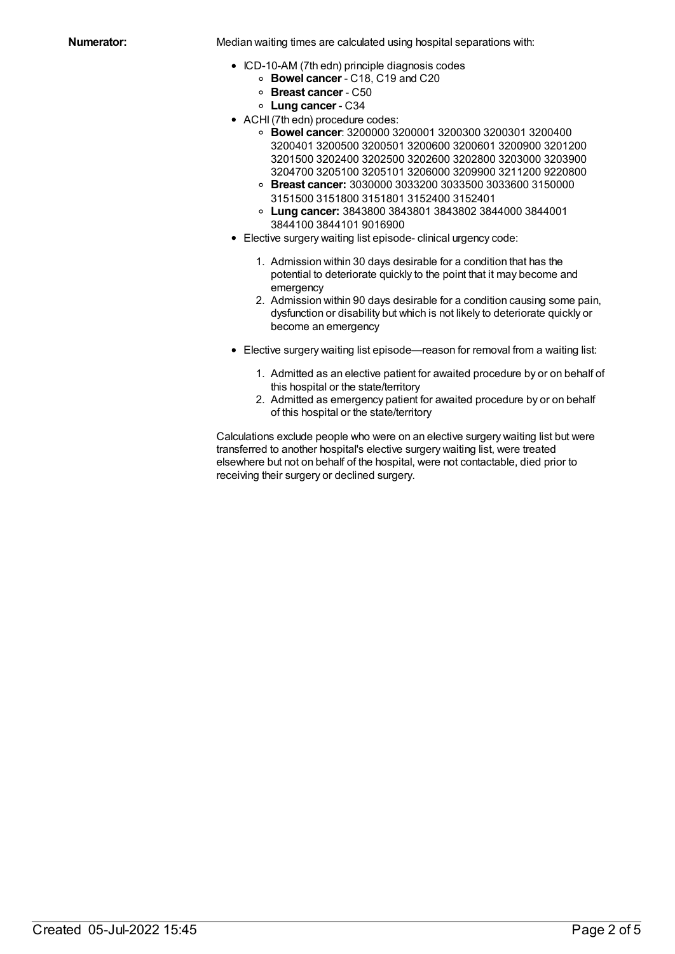**Numerator:** Median waiting times are calculated using hospital separations with:

- ICD-10-AM (7th edn) principle diagnosis codes
	- **Bowel cancer** C18, C19 and C20
	- **Breast cancer** C50
	- **Lung cancer** C34
- ACHI (7th edn) procedure codes:
	- **Bowel cancer**: 3200000 3200001 3200300 3200301 3200400 3200401 3200500 3200501 3200600 3200601 3200900 3201200 3201500 3202400 3202500 3202600 3202800 3203000 3203900 3204700 3205100 3205101 3206000 3209900 3211200 9220800
	- **Breast cancer:** 3030000 3033200 3033500 3033600 3150000 3151500 3151800 3151801 3152400 3152401
	- **Lung cancer:** 3843800 3843801 3843802 3844000 3844001 3844100 3844101 9016900
- Elective surgery waiting list episode- clinical urgency code:
	- 1. Admission within 30 days desirable for a condition that has the potential to deteriorate quickly to the point that it may become and emergency
	- 2. Admission within 90 days desirable for a condition causing some pain, dysfunction or disability but which is not likely to deteriorate quickly or become an emergency
- Elective surgery waiting list episode—reason for removal from a waiting list:
	- 1. Admitted as an elective patient for awaited procedure by or on behalf of this hospital or the state/territory
	- 2. Admitted as emergency patient for awaited procedure by or on behalf of this hospital or the state/territory

Calculations exclude people who were on an elective surgery waiting list but were transferred to another hospital's elective surgery waiting list, were treated elsewhere but not on behalf of the hospital, were not contactable, died prior to receiving their surgery or declined surgery.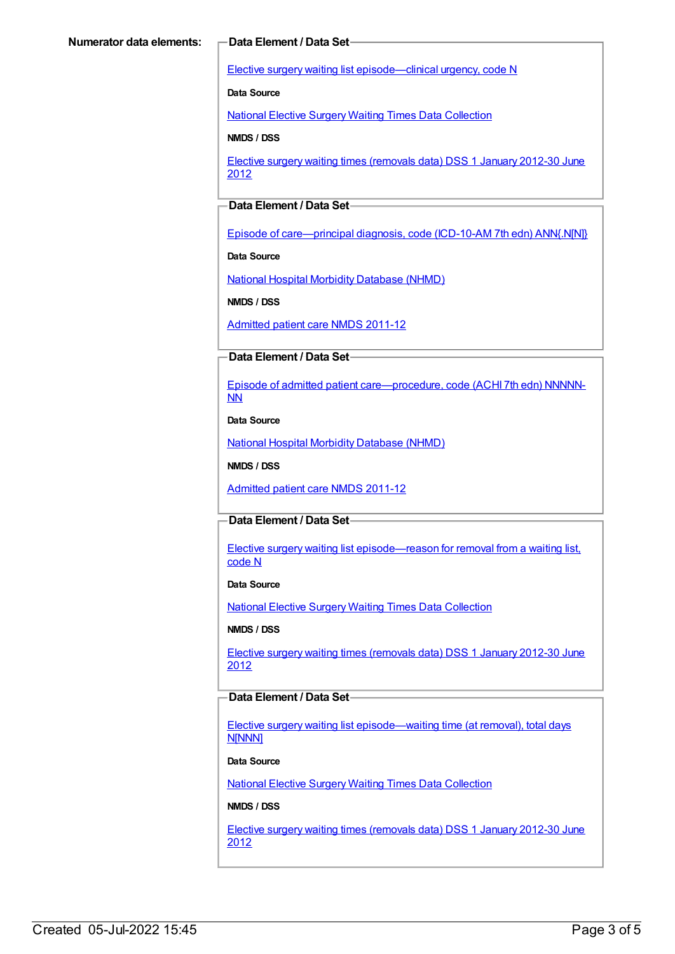Elective surgery waiting list [episode—clinical](https://meteor.aihw.gov.au/content/270008) urgency, code N

**Data Source**

National Elective Surgery Waiting Times Data [Collection](https://meteor.aihw.gov.au/content/395071)

**NMDS / DSS**

Elective surgery waiting times [\(removals](https://meteor.aihw.gov.au/content/470097) data) DSS 1 January 2012-30 June 2012

### **Data Element / Data Set**

Episode of [care—principal](https://meteor.aihw.gov.au/content/391326) diagnosis, code (ICD-10-AM 7th edn) ANN{.N[N]}

**Data Source**

National Hospital Morbidity [Database](https://meteor.aihw.gov.au/content/394352) (NHMD)

**NMDS / DSS**

[Admitted](https://meteor.aihw.gov.au/content/426861) patient care NMDS 2011-12

#### **Data Element / Data Set**

Episode of admitted patient [care—procedure,](https://meteor.aihw.gov.au/content/391349) code (ACHI 7th edn) NNNNN-NN

**Data Source**

National Hospital Morbidity [Database](https://meteor.aihw.gov.au/content/394352) (NHMD)

**NMDS / DSS**

[Admitted](https://meteor.aihw.gov.au/content/426861) patient care NMDS 2011-12

#### **Data Element / Data Set**

Elective surgery waiting list [episode—reason](https://meteor.aihw.gov.au/content/471735) for removal from a waiting list, code N

**Data Source**

National Elective Surgery Waiting Times Data [Collection](https://meteor.aihw.gov.au/content/395071)

**NMDS / DSS**

Elective surgery waiting times [\(removals](https://meteor.aihw.gov.au/content/470097) data) DSS 1 January 2012-30 June 2012

#### **Data Element / Data Set**

Elective surgery waiting list [episode—waiting](https://meteor.aihw.gov.au/content/471744) time (at removal), total days N[NNN]

#### **Data Source**

National Elective Surgery Waiting Times Data [Collection](https://meteor.aihw.gov.au/content/395071)

#### **NMDS / DSS**

Elective surgery waiting times [\(removals](https://meteor.aihw.gov.au/content/470097) data) DSS 1 January 2012-30 June 2012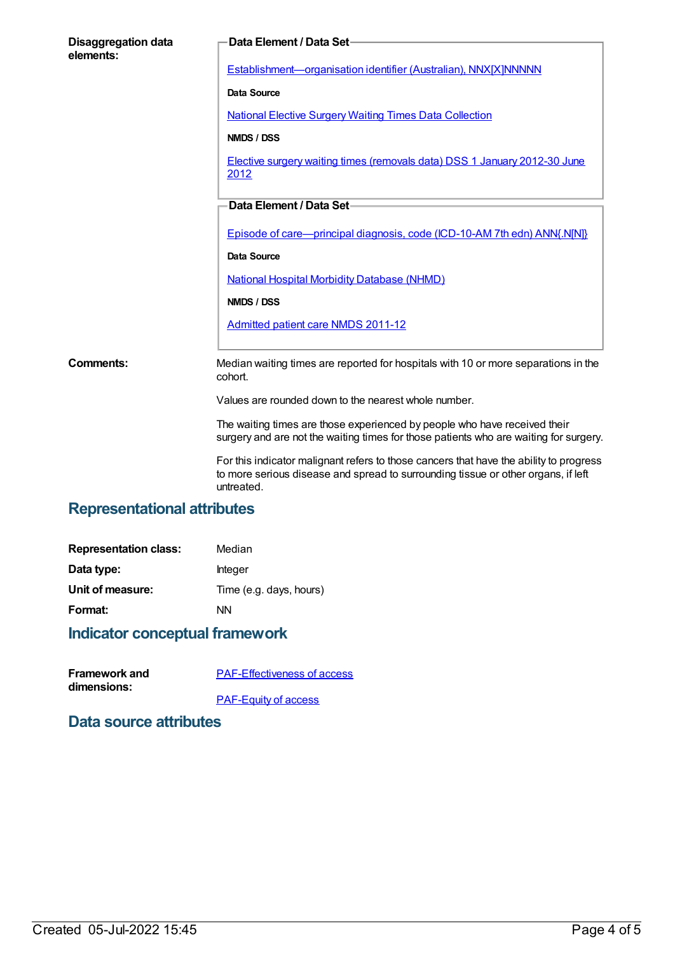| <b>Disaggregation data</b><br>elements: | Data Element / Data Set-                                                                                                                                           |
|-----------------------------------------|--------------------------------------------------------------------------------------------------------------------------------------------------------------------|
|                                         | Establishment-organisation identifier (Australian), NNX[X]NNNNN                                                                                                    |
|                                         | <b>Data Source</b>                                                                                                                                                 |
|                                         | <b>National Elective Surgery Waiting Times Data Collection</b>                                                                                                     |
|                                         | NMDS / DSS                                                                                                                                                         |
|                                         | Elective surgery waiting times (removals data) DSS 1 January 2012-30 June<br>2012                                                                                  |
|                                         | Data Element / Data Set-                                                                                                                                           |
|                                         | Episode of care—principal diagnosis, code (ICD-10-AM 7th edn) ANN{.N[N]}                                                                                           |
|                                         | <b>Data Source</b>                                                                                                                                                 |
|                                         | <b>National Hospital Morbidity Database (NHMD)</b>                                                                                                                 |
|                                         | NMDS / DSS                                                                                                                                                         |
|                                         | <b>Admitted patient care NMDS 2011-12</b>                                                                                                                          |
| Comments:                               | Median waiting times are reported for hospitals with 10 or more separations in the<br>cohort.                                                                      |
|                                         | Values are rounded down to the nearest whole number.                                                                                                               |
|                                         | The waiting times are those experienced by people who have received their<br>surgery and are not the waiting times for those patients who are waiting for surgery. |

For this indicator malignant refers to those cancers that have the ability to progress to more serious disease and spread to surrounding tissue or other organs, if left untreated.

## **Representational attributes**

| Median                  |
|-------------------------|
| Integer                 |
| Time (e.g. days, hours) |
| NN                      |
|                         |

## **Indicator conceptual framework**

| <b>Framework and</b> | <b>PAF-Effectiveness of access</b> |
|----------------------|------------------------------------|
| dimensions:          |                                    |
|                      | <b>PAF-Equity of access</b>        |

## **Data source attributes**